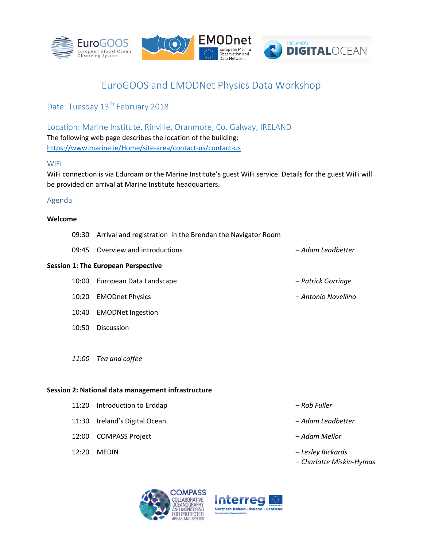

# EuroGOOS and EMODNet Physics Data Workshop

Date: Tuesday 13<sup>th</sup> February 2018

Location: Marine Institute, Rinville, Oranmore, Co. Galway, IRELAND The following web page describes the location of the building: <https://www.marine.ie/Home/site-area/contact-us/contact-us>

#### WiFi

WiFi connection is via Eduroam or the Marine Institute's guest WiFi service. Details for the guest WiFi will be provided on arrival at Marine Institute headquarters.

#### Agenda

#### **Welcome**

| 09:30 Arrival and registration in the Brendan the Navigator Room |                   |
|------------------------------------------------------------------|-------------------|
| 09:45 Overview and introductions                                 | – Adam Leadbetter |

#### **Session 1: The European Perspective**

- 10:00 European Data Landscape *Patrick Gorringe*
- 10:20 EMODnet Physics *Antonio Novellino*
- 10:40 EMODNet Ingestion
- 10:50 Discussion
- *11:00 Tea and coffee*

#### **Session 2: National data management infrastructure**

- 11:20 Introduction to Erddap *Rob Fuller*
- 11:30 Ireland's Digital Ocean *Adam Leadbetter*
- 12:00 COMPASS Project *Adam Mellor*
- 

- 
- 
- 12:20 MEDIN *Lesley Rickards*
	- *Charlotte Miskin-Hymas*



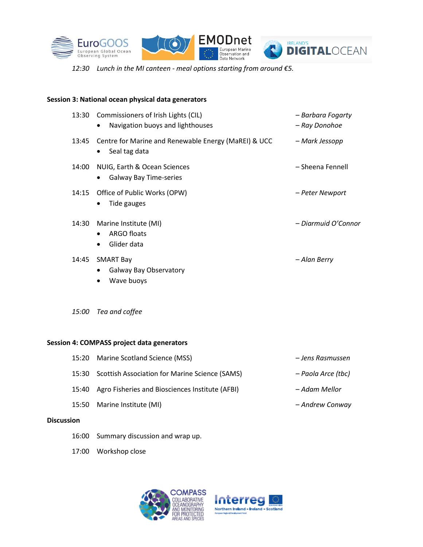





*12:30 Lunch in the MI canteen - meal options starting from around €5.*

#### **Session 3: National ocean physical data generators**

| 13:30 | Commissioners of Irish Lights (CIL)<br>Navigation buoys and lighthouses<br>$\bullet$ | – Barbara Fogarty<br>– Ray Donohoe |
|-------|--------------------------------------------------------------------------------------|------------------------------------|
| 13:45 | Centre for Marine and Renewable Energy (MaREI) & UCC<br>Seal tag data<br>$\bullet$   | – Mark Jessopp                     |
| 14:00 | NUIG, Earth & Ocean Sciences<br>Galway Bay Time-series<br>$\bullet$                  | – Sheena Fennell                   |
| 14:15 | Office of Public Works (OPW)<br>Tide gauges<br>$\bullet$                             | – Peter Newport                    |
| 14:30 | Marine Institute (MI)<br>ARGO floats<br>Glider data                                  | - Diarmuid O'Connor                |
| 14:45 | <b>SMART Bay</b><br><b>Galway Bay Observatory</b><br>Wave buoys                      | – Alan Berry                       |

*15:00 Tea and coffee*

#### **Session 4: COMPASS project data generators**

| <b>Discussion</b> |                                                       |                    |
|-------------------|-------------------------------------------------------|--------------------|
| 15:50             | Marine Institute (MI)                                 | - Andrew Conway    |
| 15:40             | Agro Fisheries and Biosciences Institute (AFBI)       | – Adam Mellor      |
| 15:30             | <b>Scottish Association for Marine Science (SAMS)</b> | – Paola Arce (tbc) |
| 15:20             | Marine Scotland Science (MSS)                         | – Jens Rasmussen   |

- 16:00 Summary discussion and wrap up.
- 17:00 Workshop close



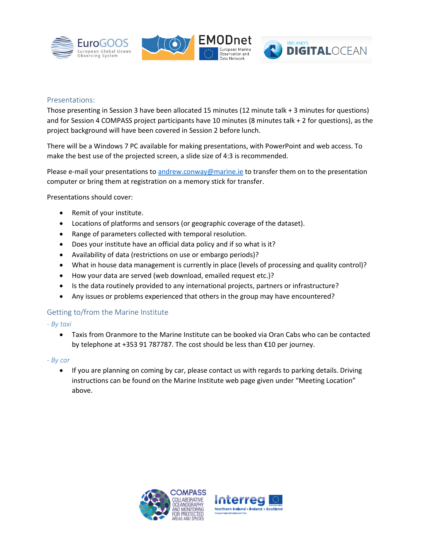





#### Presentations:

Those presenting in Session 3 have been allocated 15 minutes (12 minute talk + 3 minutes for questions) and for Session 4 COMPASS project participants have 10 minutes (8 minutes talk + 2 for questions), as the project background will have been covered in Session 2 before lunch.

There will be a Windows 7 PC available for making presentations, with PowerPoint and web access. To make the best use of the projected screen, a slide size of 4:3 is recommended.

Please e-mail your presentations t[o andrew.conway@marine.ie](mailto:andrew.conway@marine.ie) to transfer them on to the presentation computer or bring them at registration on a memory stick for transfer.

Presentations should cover:

- Remit of your institute.
- Locations of platforms and sensors (or geographic coverage of the dataset).
- Range of parameters collected with temporal resolution.
- Does your institute have an official data policy and if so what is it?
- Availability of data (restrictions on use or embargo periods)?
- What in house data management is currently in place (levels of processing and quality control)?
- How your data are served (web download, emailed request etc.)?
- Is the data routinely provided to any international projects, partners or infrastructure?
- Any issues or problems experienced that others in the group may have encountered?

# Getting to/from the Marine Institute

- *- By taxi*
	- Taxis from Oranmore to the Marine Institute can be booked via Oran Cabs who can be contacted by telephone at +353 91 787787. The cost should be less than €10 per journey.

*- By car*

• If you are planning on coming by car, please contact us with regards to parking details. Driving instructions can be found on the Marine Institute web page given under "Meeting Location" above.



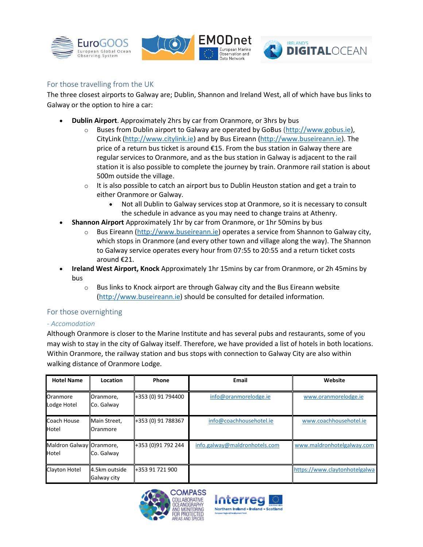





# For those travelling from the UK

The three closest airports to Galway are; Dublin, Shannon and Ireland West, all of which have bus links to Galway or the option to hire a car:

- **Dublin Airport**. Approximately 2hrs by car from Oranmore, or 3hrs by bus
	- $\circ$  Buses from Dublin airport to Galway are operated by GoBus [\(http://www.gobus.ie\)](http://www.gobus.ie/), CityLink [\(http://www.citylink.ie\)](http://www.citylink.ie/) and by Bus Eireann [\(http://www.buseireann.ie\)](http://www.buseireann.ie/). The price of a return bus ticket is around €15. From the bus station in Galway there are regular services to Oranmore, and as the bus station in Galway is adjacent to the rail station it is also possible to complete the journey by train. Oranmore rail station is about 500m outside the village.
	- $\circ$  It is also possible to catch an airport bus to Dublin Heuston station and get a train to either Oranmore or Galway.
		- Not all Dublin to Galway services stop at Oranmore, so it is necessary to consult the schedule in advance as you may need to change trains at Athenry.
- **Shannon Airport** Approximately 1hr by car from Oranmore, or 1hr 50mins by bus
	- $\circ$  Bus Eireann [\(http://www.buseireann.ie\)](http://www.buseireann.ie/) operates a service from Shannon to Galway city, which stops in Oranmore (and every other town and village along the way). The Shannon to Galway service operates every hour from 07:55 to 20:55 and a return ticket costs around €21.
- **Ireland West Airport, Knock** Approximately 1hr 15mins by car from Oranmore, or 2h 45mins by bus
	- $\circ$  Bus links to Knock airport are through Galway city and the Bus Eireann website [\(http://www.buseireann.ie\)](http://www.buseireann.ie/) should be consulted for detailed information.

# For those overnighting

# *- Accomodation*

Although Oranmore is closer to the Marine Institute and has several pubs and restaurants, some of you may wish to stay in the city of Galway itself. Therefore, we have provided a list of hotels in both locations. Within Oranmore, the railway station and bus stops with connection to Galway City are also within walking distance of Oranmore Lodge.

| <b>Hotel Name</b>                 | Location                     | Phone              | Email                         | Website                       |
|-----------------------------------|------------------------------|--------------------|-------------------------------|-------------------------------|
| Oranmore<br>Lodge Hotel           | Oranmore,<br>Co. Galway      | +353 (0) 91 794400 | info@oranmorelodge.ie         | www.oranmorelodge.ie          |
| Coach House<br>Hotel              | Main Street,<br>Oranmore     | +353 (0) 91 788367 | info@coachhousehotel.ie       | www.coachhousehotel.ie        |
| Maldron Galway Oranmore,<br>Hotel | Co. Galway                   | +353 (0)91 792 244 | info.galway@maldronhotels.com | www.maldronhotelgalway.com    |
| <b>Clayton Hotel</b>              | 4.5km outside<br>Galway city | +353 91 721 900    |                               | https://www.claytonhotelgalwa |